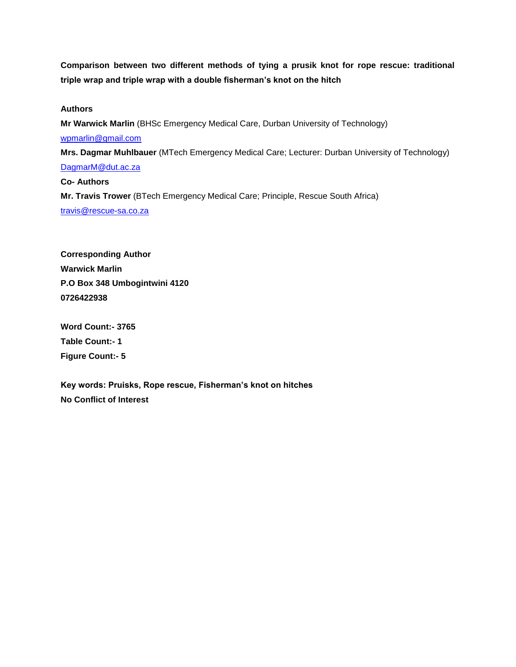**Comparison between two different methods of tying a prusik knot for rope rescue: traditional triple wrap and triple wrap with a double fisherman's knot on the hitch**

# **Authors**

**Mr Warwick Marlin** (BHSc Emergency Medical Care, Durban University of Technology) [wpmarlin@gmail.com](mailto:wpmarlin@gmail.com) **Mrs. Dagmar Muhlbauer** (MTech Emergency Medical Care; Lecturer: Durban University of Technology) [DagmarM@dut.ac.za](mailto:DagmarM@dut.ac.za) **Co- Authors Mr. Travis Trower** (BTech Emergency Medical Care; Principle, Rescue South Africa) [travis@rescue-sa.co.za](mailto:travis@rescue-sa.co.za)

**Corresponding Author Warwick Marlin P.O Box 348 Umbogintwini 4120 0726422938**

**Word Count:- 3765 Table Count:- 1 Figure Count:- 5**

**Key words: Pruisks, Rope rescue, Fisherman's knot on hitches No Conflict of Interest**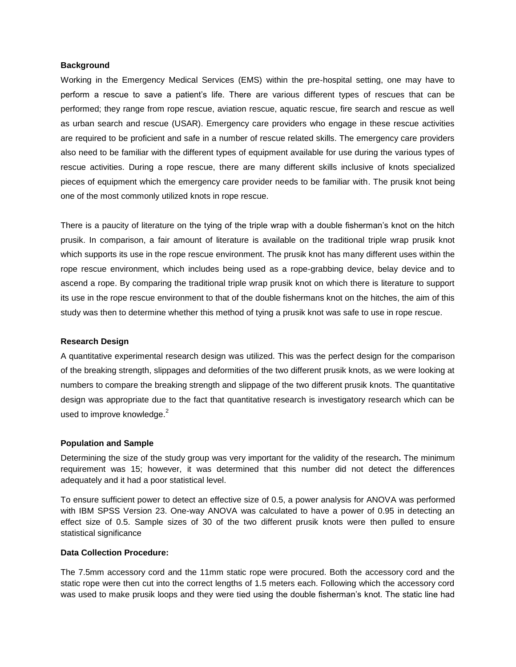### **Background**

Working in the Emergency Medical Services (EMS) within the pre-hospital setting, one may have to perform a rescue to save a patient's life. There are various different types of rescues that can be performed; they range from rope rescue, aviation rescue, aquatic rescue, fire search and rescue as well as urban search and rescue (USAR). Emergency care providers who engage in these rescue activities are required to be proficient and safe in a number of rescue related skills. The emergency care providers also need to be familiar with the different types of equipment available for use during the various types of rescue activities. During a rope rescue, there are many different skills inclusive of knots specialized pieces of equipment which the emergency care provider needs to be familiar with. The prusik knot being one of the most commonly utilized knots in rope rescue.

There is a paucity of literature on the tying of the triple wrap with a double fisherman's knot on the hitch prusik. In comparison, a fair amount of literature is available on the traditional triple wrap prusik knot which supports its use in the rope rescue environment. The prusik knot has many different uses within the rope rescue environment, which includes being used as a rope-grabbing device, belay device and to ascend a rope. By comparing the traditional triple wrap prusik knot on which there is literature to support its use in the rope rescue environment to that of the double fishermans knot on the hitches, the aim of this study was then to determine whether this method of tying a prusik knot was safe to use in rope rescue.

# **Research Design**

A quantitative experimental research design was utilized. This was the perfect design for the comparison of the breaking strength, slippages and deformities of the two different prusik knots, as we were looking at numbers to compare the breaking strength and slippage of the two different prusik knots. The quantitative design was appropriate due to the fact that quantitative research is investigatory research which can be used to improve knowledge. $2$ 

#### **Population and Sample**

Determining the size of the study group was very important for the validity of the research**.** The minimum requirement was 15; however, it was determined that this number did not detect the differences adequately and it had a poor statistical level.

To ensure sufficient power to detect an effective size of 0.5, a power analysis for ANOVA was performed with IBM SPSS Version 23. One-way ANOVA was calculated to have a power of 0.95 in detecting an effect size of 0.5. Sample sizes of 30 of the two different prusik knots were then pulled to ensure statistical significance

### **Data Collection Procedure:**

The 7.5mm accessory cord and the 11mm static rope were procured. Both the accessory cord and the static rope were then cut into the correct lengths of 1.5 meters each. Following which the accessory cord was used to make prusik loops and they were tied using the double fisherman's knot. The static line had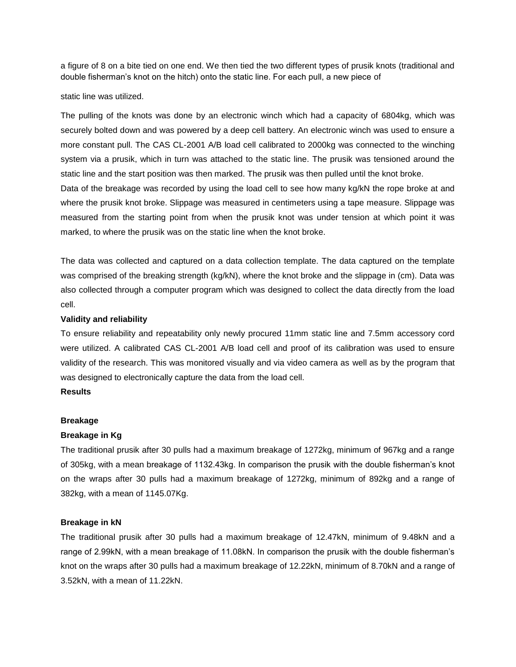a figure of 8 on a bite tied on one end. We then tied the two different types of prusik knots (traditional and double fisherman's knot on the hitch) onto the static line. For each pull, a new piece of

### static line was utilized.

The pulling of the knots was done by an electronic winch which had a capacity of 6804kg, which was securely bolted down and was powered by a deep cell battery. An electronic winch was used to ensure a more constant pull. The CAS CL-2001 A/B load cell calibrated to 2000kg was connected to the winching system via a prusik, which in turn was attached to the static line. The prusik was tensioned around the static line and the start position was then marked. The prusik was then pulled until the knot broke.

Data of the breakage was recorded by using the load cell to see how many kg/kN the rope broke at and where the prusik knot broke. Slippage was measured in centimeters using a tape measure. Slippage was measured from the starting point from when the prusik knot was under tension at which point it was marked, to where the prusik was on the static line when the knot broke.

The data was collected and captured on a data collection template. The data captured on the template was comprised of the breaking strength (kg/kN), where the knot broke and the slippage in (cm). Data was also collected through a computer program which was designed to collect the data directly from the load cell.

### **Validity and reliability**

To ensure reliability and repeatability only newly procured 11mm static line and 7.5mm accessory cord were utilized. A calibrated CAS CL-2001 A/B load cell and proof of its calibration was used to ensure validity of the research. This was monitored visually and via video camera as well as by the program that was designed to electronically capture the data from the load cell.

# **Results**

#### **Breakage**

#### **Breakage in Kg**

The traditional prusik after 30 pulls had a maximum breakage of 1272kg, minimum of 967kg and a range of 305kg, with a mean breakage of 1132.43kg. In comparison the prusik with the double fisherman's knot on the wraps after 30 pulls had a maximum breakage of 1272kg, minimum of 892kg and a range of 382kg, with a mean of 1145.07Kg.

### **Breakage in kN**

The traditional prusik after 30 pulls had a maximum breakage of 12.47kN, minimum of 9.48kN and a range of 2.99kN, with a mean breakage of 11.08kN. In comparison the prusik with the double fisherman's knot on the wraps after 30 pulls had a maximum breakage of 12.22kN, minimum of 8.70kN and a range of 3.52kN, with a mean of 11.22kN.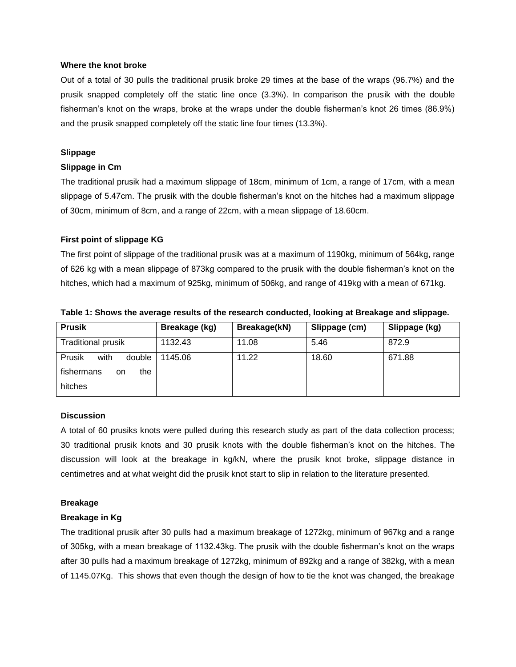### **Where the knot broke**

Out of a total of 30 pulls the traditional prusik broke 29 times at the base of the wraps (96.7%) and the prusik snapped completely off the static line once (3.3%). In comparison the prusik with the double fisherman's knot on the wraps, broke at the wraps under the double fisherman's knot 26 times (86.9%) and the prusik snapped completely off the static line four times (13.3%).

# **Slippage**

## **Slippage in Cm**

The traditional prusik had a maximum slippage of 18cm, minimum of 1cm, a range of 17cm, with a mean slippage of 5.47cm. The prusik with the double fisherman's knot on the hitches had a maximum slippage of 30cm, minimum of 8cm, and a range of 22cm, with a mean slippage of 18.60cm.

# **First point of slippage KG**

The first point of slippage of the traditional prusik was at a maximum of 1190kg, minimum of 564kg, range of 626 kg with a mean slippage of 873kg compared to the prusik with the double fisherman's knot on the hitches, which had a maximum of 925kg, minimum of 506kg, and range of 419kg with a mean of 671kg.

| <b>Prusik</b>             | Breakage (kg) | Breakage(kN) | Slippage (cm) | Slippage (kg) |
|---------------------------|---------------|--------------|---------------|---------------|
| <b>Traditional prusik</b> | 1132.43       | 11.08        | 5.46          | 872.9         |
| Prusik<br>with<br>double  | 1145.06       | 11.22        | 18.60         | 671.88        |
| fishermans<br>the<br>on   |               |              |               |               |
| hitches                   |               |              |               |               |

**Table 1: Shows the average results of the research conducted, looking at Breakage and slippage.**

### **Discussion**

A total of 60 prusiks knots were pulled during this research study as part of the data collection process; 30 traditional prusik knots and 30 prusik knots with the double fisherman's knot on the hitches. The discussion will look at the breakage in kg/kN, where the prusik knot broke, slippage distance in centimetres and at what weight did the prusik knot start to slip in relation to the literature presented.

# **Breakage**

# **Breakage in Kg**

The traditional prusik after 30 pulls had a maximum breakage of 1272kg, minimum of 967kg and a range of 305kg, with a mean breakage of 1132.43kg. The prusik with the double fisherman's knot on the wraps after 30 pulls had a maximum breakage of 1272kg, minimum of 892kg and a range of 382kg, with a mean of 1145.07Kg. This shows that even though the design of how to tie the knot was changed, the breakage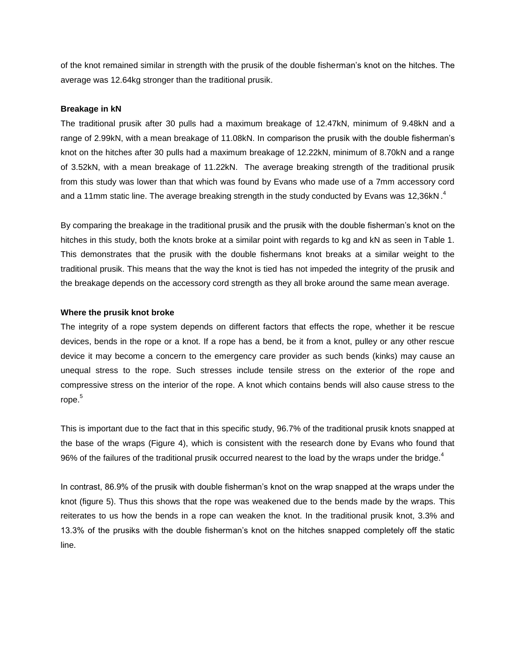of the knot remained similar in strength with the prusik of the double fisherman's knot on the hitches. The average was 12.64kg stronger than the traditional prusik.

## **Breakage in kN**

The traditional prusik after 30 pulls had a maximum breakage of 12.47kN, minimum of 9.48kN and a range of 2.99kN, with a mean breakage of 11.08kN. In comparison the prusik with the double fisherman's knot on the hitches after 30 pulls had a maximum breakage of 12.22kN, minimum of 8.70kN and a range of 3.52kN, with a mean breakage of 11.22kN. The average breaking strength of the traditional prusik from this study was lower than that which was found by Evans who made use of a 7mm accessory cord and a 11mm static line. The average breaking strength in the study conducted by Evans was 12,36kN.<sup>4</sup>

By comparing the breakage in the traditional prusik and the prusik with the double fisherman's knot on the hitches in this study, both the knots broke at a similar point with regards to kg and kN as seen in Table 1. This demonstrates that the prusik with the double fishermans knot breaks at a similar weight to the traditional prusik. This means that the way the knot is tied has not impeded the integrity of the prusik and the breakage depends on the accessory cord strength as they all broke around the same mean average.

### **Where the prusik knot broke**

The integrity of a rope system depends on different factors that effects the rope, whether it be rescue devices, bends in the rope or a knot. If a rope has a bend, be it from a knot, pulley or any other rescue device it may become a concern to the emergency care provider as such bends (kinks) may cause an unequal stress to the rope. Such stresses include tensile stress on the exterior of the rope and compressive stress on the interior of the rope. A knot which contains bends will also cause stress to the rope.<sup>5</sup>

This is important due to the fact that in this specific study, 96.7% of the traditional prusik knots snapped at the base of the wraps (Figure 4), which is consistent with the research done by Evans who found that 96% of the failures of the traditional prusik occurred nearest to the load by the wraps under the bridge.<sup>4</sup>

In contrast, 86.9% of the prusik with double fisherman's knot on the wrap snapped at the wraps under the knot (figure 5). Thus this shows that the rope was weakened due to the bends made by the wraps. This reiterates to us how the bends in a rope can weaken the knot. In the traditional prusik knot, 3.3% and 13.3% of the prusiks with the double fisherman's knot on the hitches snapped completely off the static line.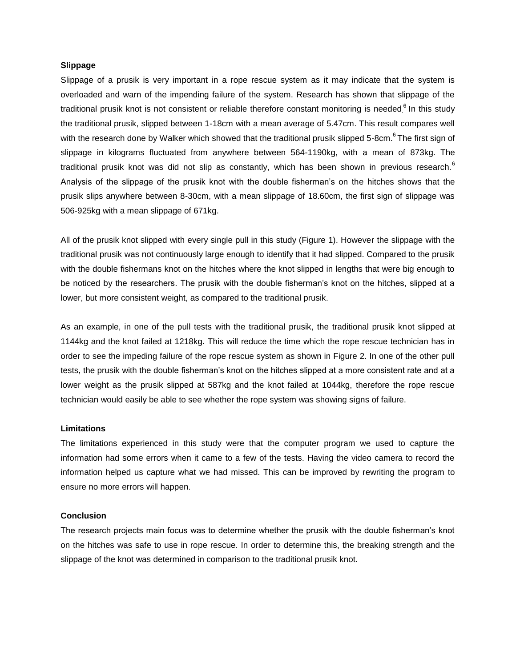## **Slippage**

Slippage of a prusik is very important in a rope rescue system as it may indicate that the system is overloaded and warn of the impending failure of the system. Research has shown that slippage of the traditional prusik knot is not consistent or reliable therefore constant monitoring is needed.<sup>6</sup> In this study the traditional prusik, slipped between 1-18cm with a mean average of 5.47cm. This result compares well with the research done by Walker which showed that the traditional prusik slipped 5-8cm. <sup>6</sup>The first sign of slippage in kilograms fluctuated from anywhere between 564-1190kg, with a mean of 873kg. The traditional prusik knot was did not slip as constantly, which has been shown in previous research.<sup>6</sup> Analysis of the slippage of the prusik knot with the double fisherman's on the hitches shows that the prusik slips anywhere between 8-30cm, with a mean slippage of 18.60cm, the first sign of slippage was 506-925kg with a mean slippage of 671kg.

All of the prusik knot slipped with every single pull in this study (Figure 1). However the slippage with the traditional prusik was not continuously large enough to identify that it had slipped. Compared to the prusik with the double fishermans knot on the hitches where the knot slipped in lengths that were big enough to be noticed by the researchers. The prusik with the double fisherman's knot on the hitches, slipped at a lower, but more consistent weight, as compared to the traditional prusik.

As an example, in one of the pull tests with the traditional prusik, the traditional prusik knot slipped at 1144kg and the knot failed at 1218kg. This will reduce the time which the rope rescue technician has in order to see the impeding failure of the rope rescue system as shown in Figure 2. In one of the other pull tests, the prusik with the double fisherman's knot on the hitches slipped at a more consistent rate and at a lower weight as the prusik slipped at 587kg and the knot failed at 1044kg, therefore the rope rescue technician would easily be able to see whether the rope system was showing signs of failure.

## **Limitations**

The limitations experienced in this study were that the computer program we used to capture the information had some errors when it came to a few of the tests. Having the video camera to record the information helped us capture what we had missed. This can be improved by rewriting the program to ensure no more errors will happen.

### **Conclusion**

The research projects main focus was to determine whether the prusik with the double fisherman's knot on the hitches was safe to use in rope rescue. In order to determine this, the breaking strength and the slippage of the knot was determined in comparison to the traditional prusik knot.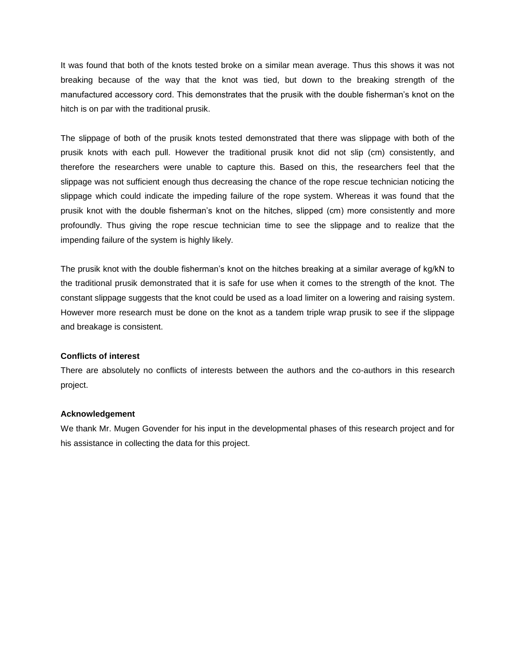It was found that both of the knots tested broke on a similar mean average. Thus this shows it was not breaking because of the way that the knot was tied, but down to the breaking strength of the manufactured accessory cord. This demonstrates that the prusik with the double fisherman's knot on the hitch is on par with the traditional prusik.

The slippage of both of the prusik knots tested demonstrated that there was slippage with both of the prusik knots with each pull. However the traditional prusik knot did not slip (cm) consistently, and therefore the researchers were unable to capture this. Based on this, the researchers feel that the slippage was not sufficient enough thus decreasing the chance of the rope rescue technician noticing the slippage which could indicate the impeding failure of the rope system. Whereas it was found that the prusik knot with the double fisherman's knot on the hitches, slipped (cm) more consistently and more profoundly. Thus giving the rope rescue technician time to see the slippage and to realize that the impending failure of the system is highly likely.

The prusik knot with the double fisherman's knot on the hitches breaking at a similar average of kg/kN to the traditional prusik demonstrated that it is safe for use when it comes to the strength of the knot. The constant slippage suggests that the knot could be used as a load limiter on a lowering and raising system. However more research must be done on the knot as a tandem triple wrap prusik to see if the slippage and breakage is consistent.

# **Conflicts of interest**

There are absolutely no conflicts of interests between the authors and the co-authors in this research project.

### **Acknowledgement**

We thank Mr. Mugen Govender for his input in the developmental phases of this research project and for his assistance in collecting the data for this project.